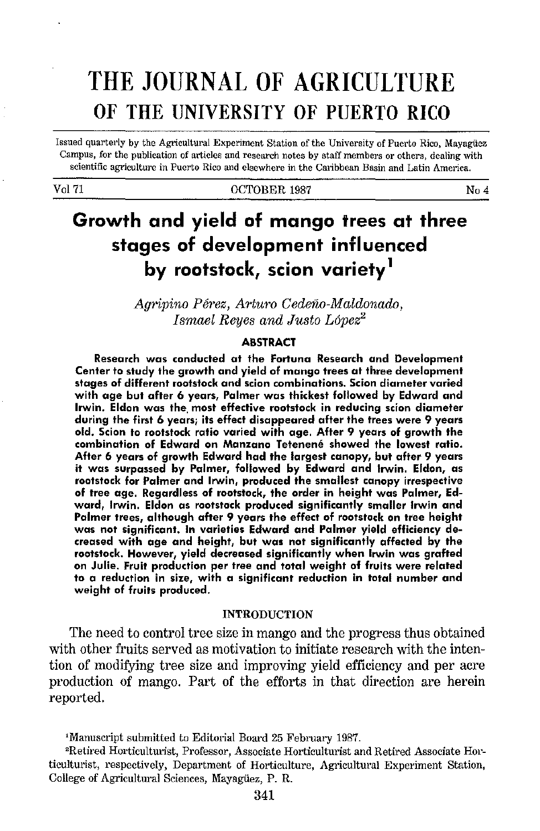# THE JOURNAL OF AGRICULTURE OF THE UNIVERSITY OF PUERTO RICO

Issued quarterly by the Agricultural Experiment Station of the University of Puerto Rico, Mayagtiez Campus, for the publication of articles and research notes by staff members or others, dealing with scientific agriculture in Puerto Rico and elsewhere in the Caribbean Basin and Latin America.

#### Vol 71 No. 4 No. 4 No. 4 No. 4 No. 4 No. 4 No. 4 No. 4 No. 4 No. 4 No. 4 No. 4 No. 4 No. 4 No. 4 No. 4 No. 4 No. 4 No. 4 No. 4 No. 4 No. 4 No. 4 No. 4 No. 4 No. 4 No. 4 No. 4 No. 4 No. 4 No. 4 No. 4 No. 4 No. 4 No. 4 No. 4

## Growth and yield of mango trees at three stages of development influenced by rootstock, scion variety<sup>1</sup>

*Agripino Pe1·ez, A1·tum Cedeiw-Maldonado, Ismael Reyes and Justo L6pez<sup>2</sup>*

### **ABSTRACT**

Research was conducted at the Fortuna Research and Development Center to study the growth and yield of mango trees at three development stages of different rootstock and scion combinations. Scion diameter varied with age but after 6 years, Palmer was thickest followed by Edward and Irwin. Eldon was the most effective rootstock in reducing scion diameter during the first 6 years; its effect disappeared after the trees were 9 years old. Scion to rootstock ratio varied with age. After 9 years of growth the combination of Edward on Manzano Tetenené showed the lowest ratio. After 6 years of growth Edward had the largest canopy, but after 9 years it was surpassed by Palmer, followed by Edward and Irwin. Eldon, as rootstock for Palmer and Irwin, produced the smallest canopy irrespective of tree age. Regardless of rootstock, the order in height was Palmer, Edward, Irwin. Eldon as rootstock produced significantly smaller Irwin and Palmer trees, although after 9 years the effect of rootstock on tree height was not significant. In varieties Edward and Palmer yield efficiency decreased with age and height, but was not significantly affected by the rootstock. However, yield decreased significantly when Irwin was grafted on Julie. Fruit production per tree and total weight of fruits were related to a reduction in size, with a significant reduction in total number and weight of fruits produced.

#### INTRODUCTION

The need to control tree size in mango and the progress thus obtained with other fruits served as motivation to initiate research with the intention of modifying tree size and improving yield efficiency and per acre production of mango. Part of the efforts in that direction are herein reported.

<sup>1</sup>Manuscript submitted to Editorial Board 25 February 1987.

Retired Horticulturist, Professor, Associate Horticulturist and Retired Associate Horticulturist, respectively, Department of Horticulture, Agricultural Experiment Station, College of Agricultural Sciences, Mayagüez, P. R.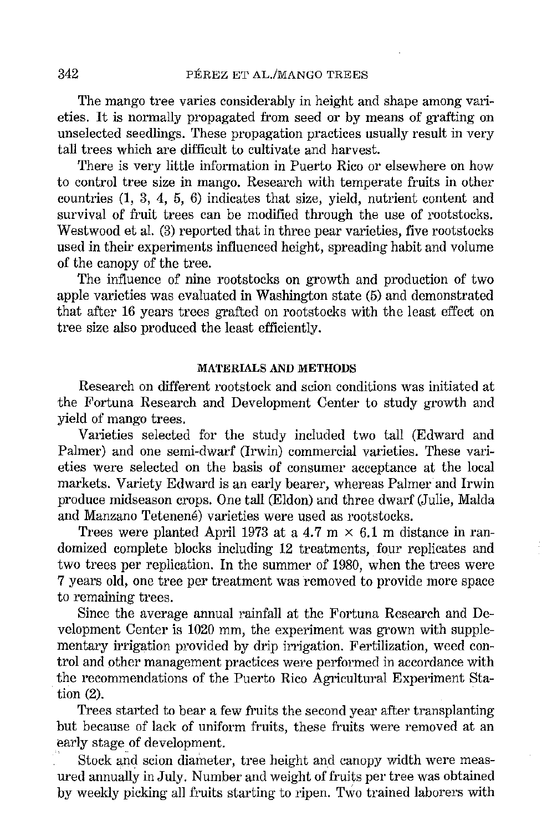The mango tree varies considerably in height and shape among varieties. It is normally propagated from seed or by means of grafting on unselected seedlings. These propagation practices usually result in very tall trees which are difficult to cultivate and harvest.

There is very little information in Puerto Rico or elsewhere on how to control tree size in mango. Research with temperate fruits in other countries (1, 3, 4, 5, 6) indicates that size, yield, nutrient content and survival of fruit trees can be modified through the use of rootstocks. Westwood et al. (3) reported that in three pear varieties, five rootstocks used in their experiments influenced height, spreading habit and volume of the canopy of the tree.

The influence of nine rootstocks on growth and production of two apple varieties was evaluated in Washington state (5) and demonstrated that after 16 years trees grafted on rootstocks with the least effect on tree size also produced the least efficiently.

#### MATERIALS AND METHODS

Research on different rootstock and scion conditions was initiated at the Fortuna Research and Development Center to study growth and yield of mango trees.

Varieties selected for the study included two tall (Edward and Palmer) and one semi-dwarf (Irwin) commercial varieties. These varieties were selected on the basis of consumer acceptance at the local markets. Variety Edward is an early bearer, whereas Palmer and Irwin produce midseason crops. One tall (Eldon) and three dwarf (Julie, Maida and Manzano Tetenené) varieties were used as rootstocks.

Trees were planted April 1973 at a 4.7 m  $\times$  6.1 m distance in randomized complete blocks including 12 treatments, four replicates and two trees per replication. In the summer of 1980, when the trees were 7 years old, one tree per treatment was removed to provide more space to remaining trees.

Since the average annual rainfall at the Fortuna Research and Development Center is 1020 mm, the experiment was grown with supplementary irrigation provided by drip irrigation. Fertilization, weed control and other management practices were performed in accordance with the recommendations of the Puerto Rico Agricultural Experiment Sta tion (2).

Trees started to bear a few fruits the second year after transplanting but because of lack of uniform fruits, these fruits were removed at an early stage of development.

Stock and scion diameter, tree height and canopy width were measured annually in July. Number and weight of fruits per tree was obtained by weekly picking all fruits starting to ripen. Two trained laborers with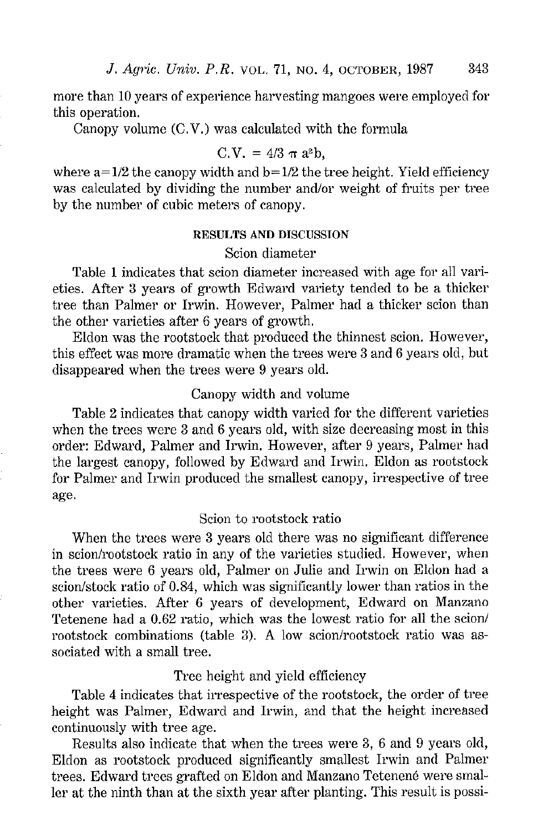more than 10 years of experience harvesting mangoes were employed for this operation.

Canopy volume (C.V.) was calculated with the formula

$$
C.V. = 4/3 \pi a^2 b,
$$

where  $a = 1/2$  the canopy width and  $b = 1/2$  the tree height. Yield efficiency was calculated by dividing the number and/or weight of fruits per tree by the number of cubic meters of canopy.

#### RESULTS AND DISCUSSION

## Scion diameter

Table 1 indicates that scion diameter increased with age for all varieties. After 3 years of growth Edward variety tended to be a thicker tree than Palmer or Irwin. However, Palmer had a thicker scion than the other varieties after 6 years of growth.

Eldon was the rootstock that produced the thinnest scion. However, this effect was more dramatic when the trees were 3 and 6 years old, but disappeared when the trees were 9 years old.

## Canopy width and volume

Table 2 indicates that canopy width varied for the different varieties when the trees were 3 and 6 years old, with size decreasing most in this order: Edward, Palmer and Irwin. However, after 9 years, Palmer had the largest canopy, followed by Edward and Irwin. Eldon as rootstock for Palmer and Irwin produced the smallest canopy, irrespective of tree age.

### Scion to rootstock ratio

When the trees were 3 years old there was no significant difference in scion/rootstock ratio in any of the varieties studied. However, when the trees were 6 years old, Palmer on Julie and Irwin on Eldon had a scion/stock ratio of 0.84, which was significantly lower than ratios in the other varieties. After 6 years of development, Edward on Manzano Tetenene had a 0.62 ratio, which was the lowest ratio for all the scion/ rootstock combinations (table 3). A low scion/rootstock ratio was associated with a small tree.

#### Tree height and yield efficiency

Table 4 indicates that irrespective of the rootstock, the order of tree height was Palmer, Edward and Irwin, and that the height increased continuously with tree age.

Results also indicate that when the trees were 3, 6 and 9 years old, Eldon as rootstock produced significantly smallest Irwin and Palmer trees. Edward trees grafted on Eldon and Manzano Tetenene were smaller at the ninth than at the sixth year after planting. This result is possi-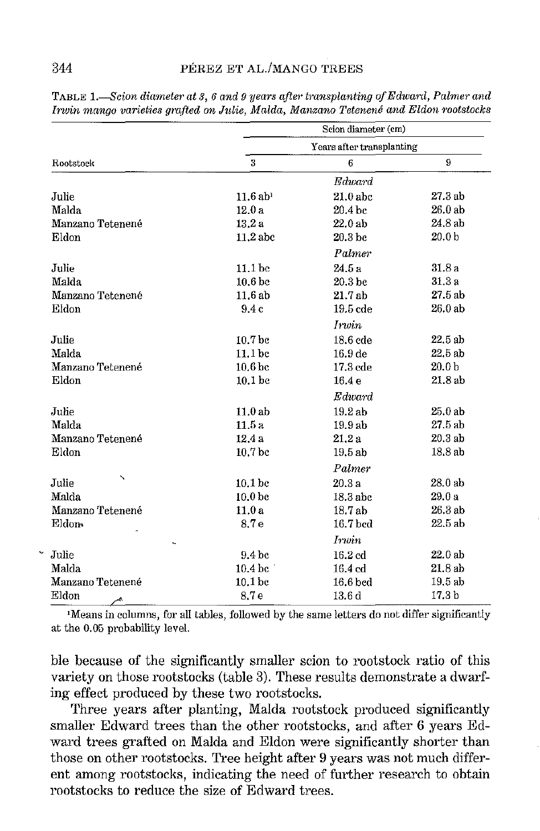|                  | Scion diameter (cm)<br>Years after transplanting |                     |                   |
|------------------|--------------------------------------------------|---------------------|-------------------|
| Rootstock        |                                                  |                     |                   |
|                  | 3                                                | 6                   | 9                 |
|                  |                                                  | Edward              |                   |
| Julie            | $11.6$ ab <sup>1</sup>                           | $21.0$ abc          | 27.3 ab           |
| Malda            | 12.0a                                            | 20.4 bc             | 26.0 ab           |
| Manzano Tetenené | 13.2a                                            | 22.0 ab             | 24.8 ab           |
| Eldon            | $11.2$ abc                                       | 20.3 bc             | 20.0 <sub>b</sub> |
|                  |                                                  | Palmer              |                   |
| Julie            | 11.1 <sub>bc</sub>                               | 24.5 а              | 318a              |
| Malda            | 10.6 <sub>bc</sub>                               | 20.3 <sub>bc</sub>  | 31.3 a            |
| Manzano Tetenené | 11.6 ab                                          | 21 7 ab             | 27.5 ab           |
| Eldon            | 9.4c                                             | 19.5 cde            | 26.0 ab           |
|                  |                                                  | Irwin               |                   |
| Julie            | 10.7 <sub>bc</sub>                               | $18.6$ cde          | 22.5 ab           |
| Malda            | 11.1 <sub>bc</sub>                               | 16.9 de             | 22.5ab            |
| Manzano Tetenené | 10.6 <sub>bc</sub>                               | 17.3 cde            | 20.0 <sub>b</sub> |
| Eldon            | 10.1 <sub>bc</sub>                               | 16.4 <sub>e</sub>   | 21.8ab            |
|                  |                                                  | Edward              |                   |
| Julie            | 11.0ab                                           | 19.2 ab             | 25.0 ab           |
| Malda            | 11.5a                                            | 19.9 ab             | 27.5 ab           |
| Manzano Tetenené | 12.4 a                                           | 21.2a               | 20.3 ab           |
| Eldon            | 10.7 bc                                          | 19.5ab              | 18.8 ab           |
|                  |                                                  | Palmer              |                   |
| Julie            | 10.1 <sub>bc</sub>                               | 20.3a               | 28.0 ab           |
| Malda            | 10.0 <sub>bc</sub>                               | 18.3 abc            | 29.0a             |
| Manzano Tetenené | 11.0 a                                           | 18.7 ab             | 26.3 ab           |
| Eldon-<br>k,     | 8.7e                                             | 16.7 bcd            | 22.5 ab           |
|                  | Irwin                                            |                     |                   |
| Julie            | 9.4 <sub>bc</sub>                                | $16.2$ $cd$         | 22.0 ah           |
| Malda            | $10.4\,\mathrm{bc}$                              | $16.4\,\mathrm{cd}$ | 21.8ab            |
| Manzano Tetenené | 10.1 <sub>bc</sub>                               | $16.6$ bed          | 19.5ab            |
| Eldon<br>بمبر    | 8.7e                                             | 13.6 d              | 17.3 <sub>b</sub> |

TABLE 1.—Scion diameter at 3, 6 and 9 years after transplanting of Edward, Palmer and Irwin mango varieties grafted on Julie, Malda, Manzano Tetenené and Eldon rootstocks

<sup>1</sup>Means in columns, for all tables, followed by the same letters do not differ significantly at the 0.05 probability level.

ble because of the significantly smaller scion to rootstock ratio of this variety on those rootstocks (table 3). These results demonstrate a dwarfing effect produced by these two rootstocks.

Three years after planting, Malda rootstock produced significantly smaller Edward trees than the other rootstocks, and after 6 years Edward trees grafted on Malda and Eldon were significantly shorter than those on other rootstocks. Tree height after 9 years was not much different among rootstocks, indicating the need of further research to obtain rootstocks to reduce the size of Edward trees.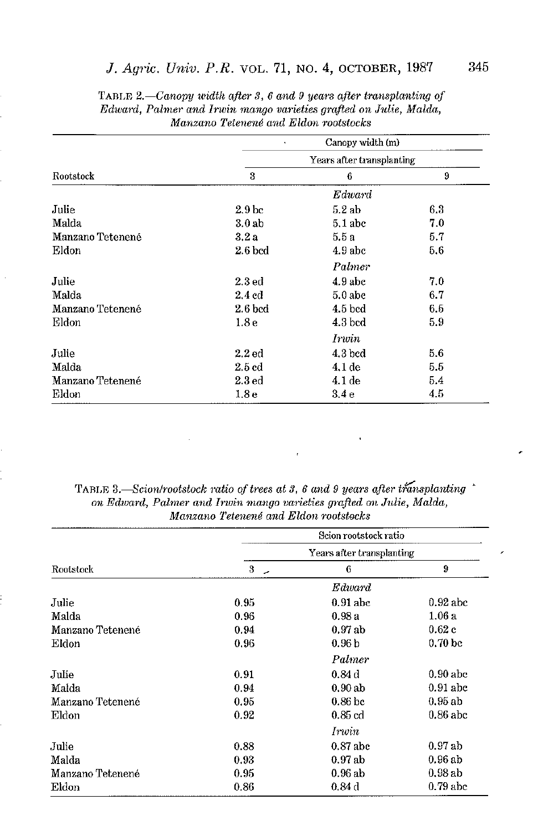## J. Agric. Univ. P.R. VOL. 71, NO. 4, OCTOBER, 1987

| Rootstock        | Canopy width (m)<br>٠     |              |     |  |
|------------------|---------------------------|--------------|-----|--|
|                  | Years after transplanting |              |     |  |
|                  | 3                         | 6            | 9   |  |
|                  |                           | $\it Edward$ |     |  |
| Julie            | 2.9 <sub>bc</sub>         | 5.2ab        | 6.3 |  |
| Malda            | 3.0 <sub>ab</sub>         | $5.1$ abc    | 7.0 |  |
| Manzano Tetenené | 3.2a                      | 5.5 а        | 5.7 |  |
| Eldon            | $2.6$ bcd                 | 4.9 abc      | 5.6 |  |
|                  |                           | Palmer       |     |  |
| Julie            | 2.3 <sub>ed</sub>         | $4.9$ abc    | 7.0 |  |
| Malda            | $2.4 \text{ cd}$          | $5.0$ abc    | 6.7 |  |
| Manzano Tetenené | $2.6$ bed                 | $4.5$ bed    | 6.5 |  |
| Eldon            | 1.8 <sub>e</sub>          | 4.3 bcd      | 5.9 |  |
|                  |                           | Irwin        |     |  |
| Julie            | $2.2$ ed                  | $4.3$ bed    | 5.6 |  |
| Malda            | 2.5 cd                    | $4.1$ de     | 5.5 |  |
| Manzano Tetenené | $2.3\,\mathrm{ed}$        | 4.1 de       | 5.4 |  |
| Eldon            | 1.8 <sub>e</sub>          | 3.4e         | 4.5 |  |
|                  |                           |              |     |  |

TABLE 2.—Canopy width after 3, 6 and 9 years after transplanting of Edward, Palmer and Irwin mango varieties grafted on Julie, Malda, Manzano Tetenené and Eldon rootstocks

TABLE 3.—Scion/rootstock ratio of trees at 3, 6 and 9 years after transplanting on Edward, Palmer and Irwin mango varieties grafted on Julie, Malda, Manzano Tetenené and Eldon rootstocks

| Rootstock        | Scion rootstock ratio<br>Years after transplanting |                    |                    |
|------------------|----------------------------------------------------|--------------------|--------------------|
|                  |                                                    |                    |                    |
|                  |                                                    |                    | Edward             |
| Julie            | 0.95                                               | $0.91$ abc         | $0.92$ abc         |
| Malda            | 0.96                                               | 0.98a              | $1.06\,\mathrm{a}$ |
| Manzano Tetenené | 0.94                                               | 0.97ab             | 0.62c              |
| Eldon            | 0.96                                               | 0.96 <sub>b</sub>  | 0.70 <sub>bc</sub> |
|                  | Palmer                                             |                    |                    |
| Julie            | 0.91                                               | 0.84d              | $0.90$ abc         |
| Malda            | 0.94                                               | 0.90ab             | $0.91$ abc         |
| Manzano Tetenené | 0.95                                               | 0.86 <sub>bc</sub> | 0.95ab             |
| Eldon            | 0.92                                               | $0.85$ $cd$        | $0.86$ abc         |
|                  |                                                    | Irwin              |                    |
| Julie            | 0.88                                               | 0.87 abc           | 0.97ab             |
| Malda            | 0.93                                               | 0.97ab             | 0.96ab             |
| Manzano Tetenene | 0.95                                               | $0.96$ ab          | 0.98ab             |
| Eldon            | 0.86                                               | 0.84d              | $0.79$ abc         |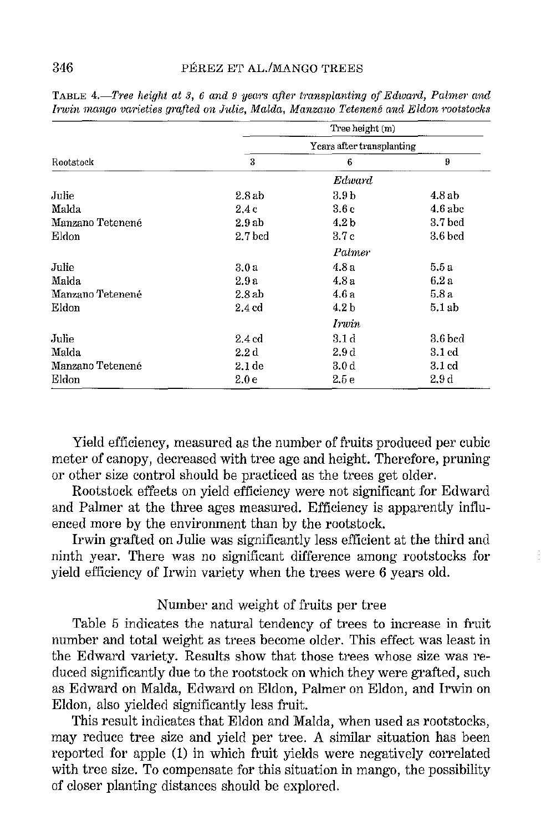|                  | Tree height (m)           |                  |                    |  |
|------------------|---------------------------|------------------|--------------------|--|
| Rootstock        | Years after transplanting |                  |                    |  |
|                  | 3                         | 6                | 9                  |  |
|                  |                           | Edward           |                    |  |
| Julie            | 2.8ab                     | 3.9 b            | 4.8ab              |  |
| Malda            | 2.4c                      | 3.6c             | $4.6$ abe          |  |
| Manzano Tetenené | 2.9ab                     | 4.2 <sub>b</sub> | 3.7 bcd            |  |
| Eldon            | 2.7 bed                   | 3.7 c            | 3.6 bcd            |  |
|                  | Palmer                    |                  |                    |  |
| Julie            | 3.0a                      | 4.8 a            | 5.5a               |  |
| Malda            | 2.9 a                     | 4.8a             | 6.2a               |  |
| Manzano Tetenené | 2.8ab                     | 4.6 a            | 5.8 a              |  |
| Eidon            | 2.4 ed                    | 4.2 <sub>b</sub> | 5.1ab              |  |
|                  |                           | Irwin            |                    |  |
| Julie            | 2.4cd                     | 3.1 d            | $3.6$ bed          |  |
| Malda            | $2.2\,\mathrm{d}$         | 2.9d             | $3.1\,\mathrm{cd}$ |  |
| Manzano Tetenené | 2.1 de                    | 3.0 d            | 3.1 cd             |  |
| Eldon            | 2.0e                      | 2.5e             | 2.9 d              |  |

**TABLE 4.—Tree height at 3, 6 and 9 years after transplanting of Edward, Palmer and** *Invin mango varieties g·mfted on Julie, Malda, Manzano Tetenene and Eldon motstocks* 

Yield efficiency, measured as the number of fruits produced per cubic meter of canopy, decreased with tree age and height. Therefore, pruning or other size control should be practiced as the trees get older.

Rootstock effects on yield efficiency were not significant for Edward and Palmer at the three ages measured. Efficiency is apparently influenced more by the environment than by the rootstock.

Irwin grafted on Julie was significantly less efficient at the third and ninth year. There was no significant difference among rootstocks for yield efficiency of Irwin variety when the trees were 6 years old.

## Number and weight of fruits per tree

Table 5 indicates the natural tendency of trees to increase in fruit number and total weight as trees become older. This effect was least in the Edward variety. Results show that those trees whose size was reduced significantly due to the rootstock on which they were grafted, such as Edward on Maida, Edward on Eldon, Palmer on Eldon, and Irwin on Eldon, also yielded significantly less fruit.

This result indicates that Eldon and Maida, when used as rootstocks, may reduce tree size and yield per tree. A similar situation has been reported for apple (1) in which fruit yields were negatively correlated with tree size. To compensate for this situation in mango, the possibility of closer planting distances should be explored.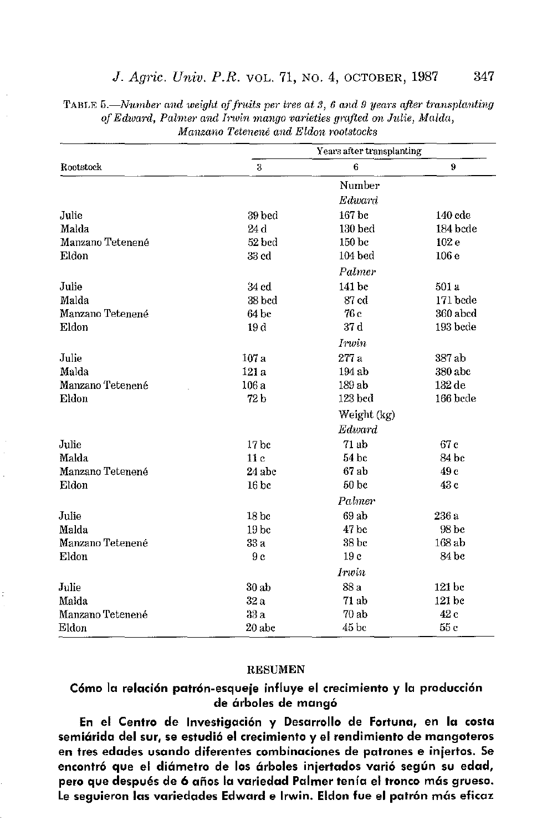| Rootstock        | Years after transplanting |                  |           |  |
|------------------|---------------------------|------------------|-----------|--|
|                  | 3                         | 6                | 9         |  |
|                  |                           | Number           |           |  |
|                  |                           | Edward           |           |  |
| Julie            | 39 bed                    | 167 he           | $140$ cde |  |
| Malda            | 24 d                      | $130$ bed        | 184 bede  |  |
| Manzano Tetenené | 52 bed                    | 150 bc           | 102 e     |  |
| Eldon            | 33 cd                     | $104$ bed        | 106e      |  |
|                  |                           | Palmer           |           |  |
| Julie            | 34 cd                     | 141 bc           | 501 a     |  |
| Malda            | 38 bed                    | 87 cd            | 171 bede  |  |
| Manzano Tetenené | 64 bc                     | 76 c             | 360 abcd  |  |
| Eldon            | 19 d                      | 37 d             | 193 bede  |  |
|                  | <i>Irwin</i>              |                  |           |  |
| Julie            | 107 a                     | 277 a            | 387 ab    |  |
| Malda            | 121 a                     | 194 ab           | 380 abc   |  |
| Manzano Tetenené | 106 a                     | 189 ab           | $132$ de  |  |
| Eldon            | 72 <sub>b</sub>           | 123 bed          | 166 bcde  |  |
|                  | Weight (kg)               |                  |           |  |
|                  |                           | Edward           |           |  |
| Julie            | 17 <sub>bc</sub>          | 71 ab            | 67 c      |  |
| Malda            | 11c                       | 54 bc            | 84 bc     |  |
| Manzano Tetenené | 24 abc                    | $67$ ab          | 49 c      |  |
| Eldon            | 16 <sub>bc</sub>          | 50 <sub>bc</sub> | 43 c      |  |
|                  | <b>Palmer</b>             |                  |           |  |
| Julie            | 18 <sub>bc</sub>          | 69 ab            | 236 a     |  |
| Malda            | 19 <sub>bc</sub>          | 47 bc            | 98 bc     |  |
| Manzano Tetenené | 33 a                      | 38 bc            | 168 ab    |  |
| Eldon            | 9c                        | 19 c             | 84 bc     |  |
|                  | Irwin                     |                  |           |  |
| Julie            | 30ab                      | 88 a             | 121 bc    |  |
| Malda            | 32a                       | 71 ab            | 121 bc    |  |
| Manzano Tetenené | 33a                       | 70 ab            | 42 c      |  |
| Eldon            | 20 abc                    | 45 <sub>bc</sub> | 55c       |  |

TABLE 5.—Number and weight of fruits per tree at 3, 6 and 9 years after transplanting of Edward, Palmer and Irwin mango varieties grafted on Julie, Malda, Manzano Tetenené and Eldon rootstocks

#### **RESUMEN**

### Cómo la relación patrón-esqueje influye el crecimiento y la producción de árboles de mangó

En el Centro de Investigación y Desarrollo de Fortuna, en la costa semiárida del sur, se estudió el crecimiento y el rendimiento de mangoteros en tres edades usando diferentes combinaciones de patrones e injertos. Se encontró que el diámetro de los árboles injertados varió según su edad, pero que después de 6 años la variedad Palmer tenía el tronco más grueso. Le seguieron las variedades Edward e Irwin. Eldon fue el patrón más eficaz